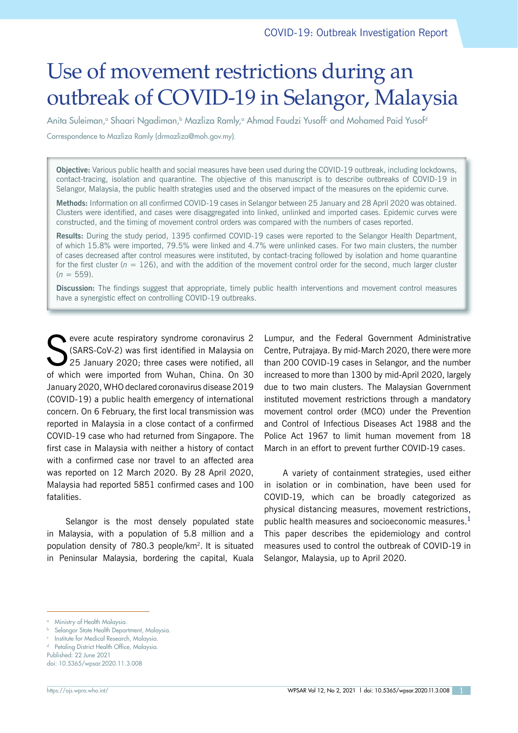# Use of movement restrictions during an outbreak of COVID-19 in Selangor, Malaysia

Anita Suleiman,° Shaari Ngadiman,<sup>b</sup> Mazliza Ramly,° Ahmad Faudzi Yusoff<sup>c</sup> and Mohamed Paid Yusof<sup>d</sup> Correspondence to Mazliza Ramly (drmazliza@moh.gov.my).

**Objective:** Various public health and social measures have been used during the COVID-19 outbreak, including lockdowns, contact-tracing, isolation and quarantine. The objective of this manuscript is to describe outbreaks of COVID-19 in Selangor, Malaysia, the public health strategies used and the observed impact of the measures on the epidemic curve.

**Methods:** Information on all confirmed COVID-19 cases in Selangor between 25 January and 28 April 2020 was obtained. Clusters were identified, and cases were disaggregated into linked, unlinked and imported cases. Epidemic curves were constructed, and the timing of movement control orders was compared with the numbers of cases reported.

**Results:** During the study period, 1395 confirmed COVID-19 cases were reported to the Selangor Health Department, of which 15.8% were imported, 79.5% were linked and 4.7% were unlinked cases. For two main clusters, the number of cases decreased after control measures were instituted, by contact-tracing followed by isolation and home quarantine for the first cluster ( $n = 126$ ), and with the addition of the movement control order for the second, much larger cluster  $(n = 559)$ .

**Discussion:** The findings suggest that appropriate, timely public health interventions and movement control measures have a synergistic effect on controlling COVID-19 outbreaks.

Severe acute respiratory syndrome coronavirus 2<br>
SARS-CoV-2) was first identified in Malaysia on<br>
25 January 2020; three cases were notified, all (SARS-CoV-2) was first identified in Malaysia on 25 January 2020; three cases were notified, all of which were imported from Wuhan, China. On 30 January 2020, WHO declared coronavirus disease 2019 (COVID-19) a public health emergency of international concern. On 6 February, the first local transmission was reported in Malaysia in a close contact of a confirmed COVID-19 case who had returned from Singapore. The first case in Malaysia with neither a history of contact with a confirmed case nor travel to an affected area was reported on 12 March 2020. By 28 April 2020, Malaysia had reported 5851 confirmed cases and 100 fatalities.

Selangor is the most densely populated state in Malaysia, with a population of 5.8 million and a population density of 780.3 people/km2. It is situated in Peninsular Malaysia, bordering the capital, Kuala

Lumpur, and the Federal Government Administrative Centre, Putrajaya. By mid-March 2020, there were more than 200 COVID-19 cases in Selangor, and the number increased to more than 1300 by mid-April 2020, largely due to two main clusters. The Malaysian Government instituted movement restrictions through a mandatory movement control order (MCO) under the Prevention and Control of Infectious Diseases Act 1988 and the Police Act 1967 to limit human movement from 18 March in an effort to prevent further COVID-19 cases.

A variety of containment strategies, used either in isolation or in combination, have been used for COVID-19, which can be broadly categorized as physical distancing measures, movement restrictions, public health measures and socioeconomic measures.**<sup>1</sup>** This paper describes the epidemiology and control measures used to control the outbreak of COVID-19 in Selangor, Malaysia, up to April 2020.

**b** Selangor State Health Department, Malaysia.

doi: 10.5365/wpsar.2020.11.3.008

<sup>&</sup>lt;sup>a</sup> Ministry of Health Malaysia.

<sup>c</sup> Institute for Medical Research, Malaysia.

d Petaling District Health Office, Malaysia. Published: 22 June 2021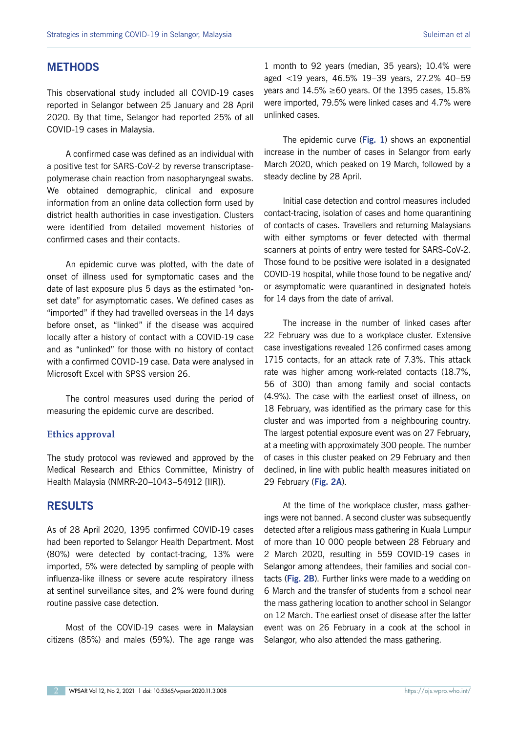## **METHODS**

This observational study included all COVID-19 cases reported in Selangor between 25 January and 28 April 2020. By that time, Selangor had reported 25% of all COVID-19 cases in Malaysia.

A confirmed case was defined as an individual with a positive test for SARS-CoV-2 by reverse transcriptasepolymerase chain reaction from nasopharyngeal swabs. We obtained demographic, clinical and exposure information from an online data collection form used by district health authorities in case investigation. Clusters were identified from detailed movement histories of confirmed cases and their contacts.

An epidemic curve was plotted, with the date of onset of illness used for symptomatic cases and the date of last exposure plus 5 days as the estimated "onset date" for asymptomatic cases. We defined cases as "imported" if they had travelled overseas in the 14 days before onset, as "linked" if the disease was acquired locally after a history of contact with a COVID-19 case and as "unlinked" for those with no history of contact with a confirmed COVID-19 case. Data were analysed in Microsoft Excel with SPSS version 26.

The control measures used during the period of measuring the epidemic curve are described.

#### **Ethics approval**

The study protocol was reviewed and approved by the Medical Research and Ethics Committee, Ministry of Health Malaysia (NMRR-20–1043–54912 [IIR]).

### **RESULTS**

As of 28 April 2020, 1395 confirmed COVID-19 cases had been reported to Selangor Health Department. Most (80%) were detected by contact-tracing, 13% were imported, 5% were detected by sampling of people with influenza-like illness or severe acute respiratory illness at sentinel surveillance sites, and 2% were found during routine passive case detection.

Most of the COVID-19 cases were in Malaysian citizens (85%) and males (59%). The age range was

1 month to 92 years (median, 35 years); 10.4% were aged <19 years, 46.5% 19–39 years, 27.2% 40–59 years and 14.5% ≥60 years. Of the 1395 cases, 15.8% were imported, 79.5% were linked cases and 4.7% were unlinked cases.

The epidemic curve (**[Fig.](#page-2-0) 1**) shows an exponential increase in the number of cases in Selangor from early March 2020, which peaked on 19 March, followed by a steady decline by 28 April.

Initial case detection and control measures included contact-tracing, isolation of cases and home quarantining of contacts of cases. Travellers and returning Malaysians with either symptoms or fever detected with thermal scanners at points of entry were tested for SARS-CoV-2. Those found to be positive were isolated in a designated COVID-19 hospital, while those found to be negative and/ or asymptomatic were quarantined in designated hotels for 14 days from the date of arrival.

The increase in the number of linked cases after 22 February was due to a workplace cluster. Extensive case investigations revealed 126 confirmed cases among 1715 contacts, for an attack rate of 7.3%. This attack rate was higher among work-related contacts (18.7%, 56 of 300) than among family and social contacts (4.9%). The case with the earliest onset of illness, on 18 February, was identified as the primary case for this cluster and was imported from a neighbouring country. The largest potential exposure event was on 27 February, at a meeting with approximately 300 people. The number of cases in this cluster peaked on 29 February and then declined, in line with public health measures initiated on 29 February (**[Fig.](#page-3-0) 2A**).

At the time of the workplace cluster, mass gatherings were not banned. A second cluster was subsequently detected after a religious mass gathering in Kuala Lumpur of more than 10 000 people between 28 February and 2 March 2020, resulting in 559 COVID-19 cases in Selangor among attendees, their families and social contacts (**[Fig.](#page-3-0) 2B**). Further links were made to a wedding on 6 March and the transfer of students from a school near the mass gathering location to another school in Selangor on 12 March. The earliest onset of disease after the latter event was on 26 February in a cook at the school in Selangor, who also attended the mass gathering.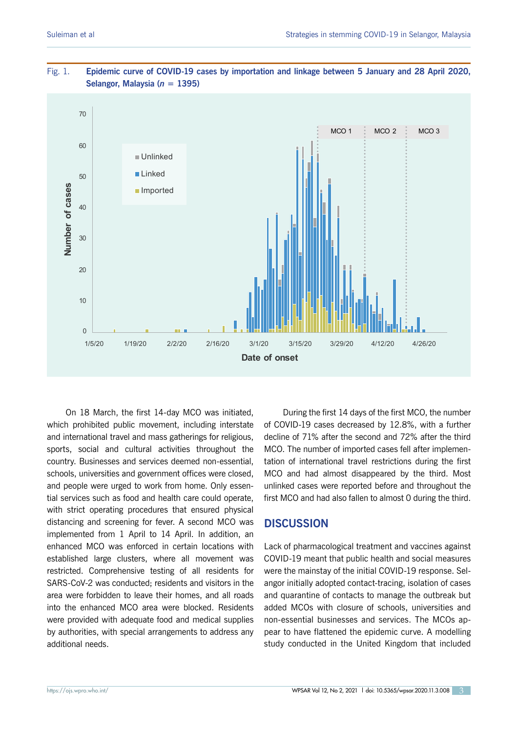

### <span id="page-2-0"></span>Fig. 1. **Epidemic curve of COVID-19 cases by importation and linkage between 5 January and 28 April 2020, Selangor, Malaysia (***n* **= 1395)**

On 18 March, the first 14-day MCO was initiated, which prohibited public movement, including interstate and international travel and mass gatherings for religious, sports, social and cultural activities throughout the country. Businesses and services deemed non-essential, schools, universities and government offices were closed, and people were urged to work from home. Only essential services such as food and health care could operate, with strict operating procedures that ensured physical distancing and screening for fever. A second MCO was implemented from 1 April to 14 April. In addition, an enhanced MCO was enforced in certain locations with established large clusters, where all movement was restricted. Comprehensive testing of all residents for SARS-CoV-2 was conducted; residents and visitors in the area were forbidden to leave their homes, and all roads into the enhanced MCO area were blocked. Residents were provided with adequate food and medical supplies by authorities, with special arrangements to address any additional needs.

During the first 14 days of the first MCO, the number of COVID-19 cases decreased by 12.8%, with a further decline of 71% after the second and 72% after the third MCO. The number of imported cases fell after implementation of international travel restrictions during the first MCO and had almost disappeared by the third. Most unlinked cases were reported before and throughout the first MCO and had also fallen to almost 0 during the third.

# **DISCUSSION**

Lack of pharmacological treatment and vaccines against COVID-19 meant that public health and social measures were the mainstay of the initial COVID-19 response. Selangor initially adopted contact-tracing, isolation of cases and quarantine of contacts to manage the outbreak but added MCOs with closure of schools, universities and non-essential businesses and services. The MCOs appear to have flattened the epidemic curve. A modelling study conducted in the United Kingdom that included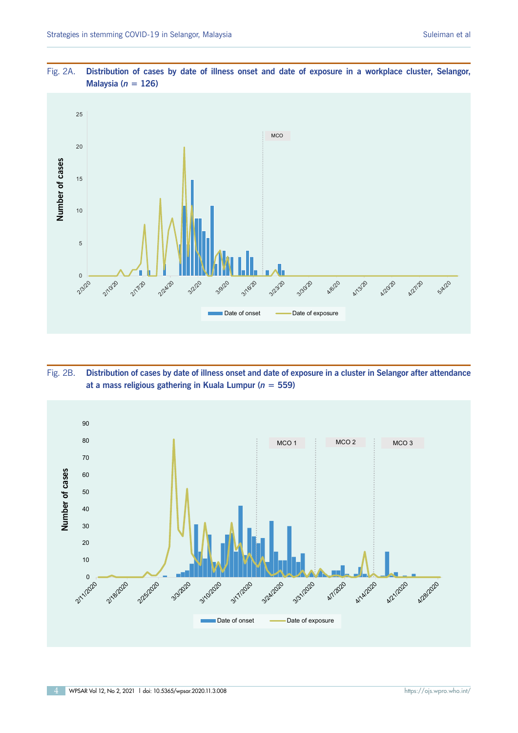

<span id="page-3-0"></span>Fig. 2A. **Distribution of cases by date of illness onset and date of exposure in a workplace cluster, Selangor, Malaysia (***n* **= 126)**

Fig. 2B. **Distribution of cases by date of illness onset and date of exposure in a cluster in Selangor after attendance at a mass religious gathering in Kuala Lumpur (***n* **= 559)**

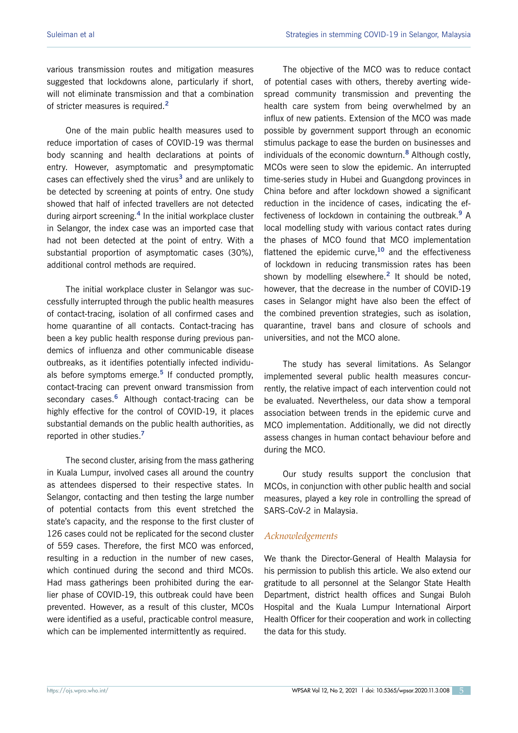various transmission routes and mitigation measures suggested that lockdowns alone, particularly if short, will not eliminate transmission and that a combination of stricter measures is required.**<sup>2</sup>**

One of the main public health measures used to reduce importation of cases of COVID-19 was thermal body scanning and health declarations at points of entry. However, asymptomatic and presymptomatic cases can effectively shed the virus**<sup>3</sup>** and are unlikely to be detected by screening at points of entry. One study showed that half of infected travellers are not detected during airport screening.**<sup>4</sup>** In the initial workplace cluster in Selangor, the index case was an imported case that had not been detected at the point of entry. With a substantial proportion of asymptomatic cases (30%), additional control methods are required.

The initial workplace cluster in Selangor was successfully interrupted through the public health measures of contact-tracing, isolation of all confirmed cases and home quarantine of all contacts. Contact-tracing has been a key public health response during previous pandemics of influenza and other communicable disease outbreaks, as it identifies potentially infected individuals before symptoms emerge.**<sup>5</sup>** If conducted promptly, contact-tracing can prevent onward transmission from secondary cases.**<sup>6</sup>** Although contact-tracing can be highly effective for the control of COVID-19, it places substantial demands on the public health authorities, as reported in other studies.**<sup>7</sup>**

The second cluster, arising from the mass gathering in Kuala Lumpur, involved cases all around the country as attendees dispersed to their respective states. In Selangor, contacting and then testing the large number of potential contacts from this event stretched the state's capacity, and the response to the first cluster of 126 cases could not be replicated for the second cluster of 559 cases. Therefore, the first MCO was enforced, resulting in a reduction in the number of new cases, which continued during the second and third MCOs. Had mass gatherings been prohibited during the earlier phase of COVID-19, this outbreak could have been prevented. However, as a result of this cluster, MCOs were identified as a useful, practicable control measure, which can be implemented intermittently as required.

The objective of the MCO was to reduce contact of potential cases with others, thereby averting widespread community transmission and preventing the health care system from being overwhelmed by an influx of new patients. Extension of the MCO was made possible by government support through an economic stimulus package to ease the burden on businesses and individuals of the economic downturn.**<sup>8</sup>** Although costly, MCOs were seen to slow the epidemic. An interrupted time-series study in Hubei and Guangdong provinces in China before and after lockdown showed a significant reduction in the incidence of cases, indicating the effectiveness of lockdown in containing the outbreak.**<sup>9</sup>** A local modelling study with various contact rates during the phases of MCO found that MCO implementation flattened the epidemic curve,**<sup>10</sup>** and the effectiveness of lockdown in reducing transmission rates has been shown by modelling elsewhere.**<sup>2</sup>** It should be noted, however, that the decrease in the number of COVID-19 cases in Selangor might have also been the effect of the combined prevention strategies, such as isolation, quarantine, travel bans and closure of schools and universities, and not the MCO alone.

The study has several limitations. As Selangor implemented several public health measures concurrently, the relative impact of each intervention could not be evaluated. Nevertheless, our data show a temporal association between trends in the epidemic curve and MCO implementation. Additionally, we did not directly assess changes in human contact behaviour before and during the MCO.

Our study results support the conclusion that MCOs, in conjunction with other public health and social measures, played a key role in controlling the spread of SARS-CoV-2 in Malaysia.

#### *Acknowledgements*

We thank the Director-General of Health Malaysia for his permission to publish this article. We also extend our gratitude to all personnel at the Selangor State Health Department, district health offices and Sungai Buloh Hospital and the Kuala Lumpur International Airport Health Officer for their cooperation and work in collecting the data for this study.